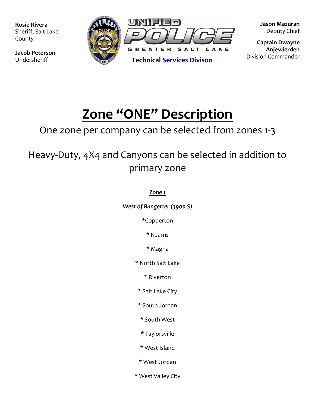**Rosie Rivera** Sheriff, Salt Lake County

**Jacob Peterson**  Undersheriff



**Jason Mazuran**  Deputy Chief

**Captain Dwayne Anjewierden**  Division Commander

# **Zone "ONE" Description**

### One zone per company can be selected from zones 1-3

## Heavy-Duty, 4X4 and Canyons can be selected in addition to primary zone

#### *Zone 1*

*West of Bangerter (3900 S)* 

*\**Copperton

\* Kearns

\* Magna

\* North Salt Lake

\* Riverton

\* Salt Lake City

\* South Jordan

\* South West

\* Taylorsville

\* West Island

\* West Jordan

\* West Valley City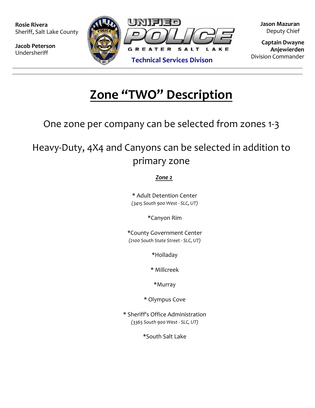**Rosie Rivera** Sheriff, Salt Lake County

**Jacob Peterson**  Undersheriff



**Jason Mazuran**  Deputy Chief

**Captain Dwayne Anjewierden** 

## **Zone "TWO" Description**

One zone per company can be selected from zones 1-3

Heavy-Duty, 4X4 and Canyons can be selected in addition to primary zone

#### *Zone 2*

\* Adult Detention Center *(3415 South 900 West - SLC, UT)*

\*Canyon Rim

\*County Government Center *(2100 South State Street - SLC, UT)*

\*Holladay

\* Millcreek

\*Murray

\* Olympus Cove

\* Sheriff's Office Administration *(3365 South 900 West - SLC, UT)*

\*South Salt Lake